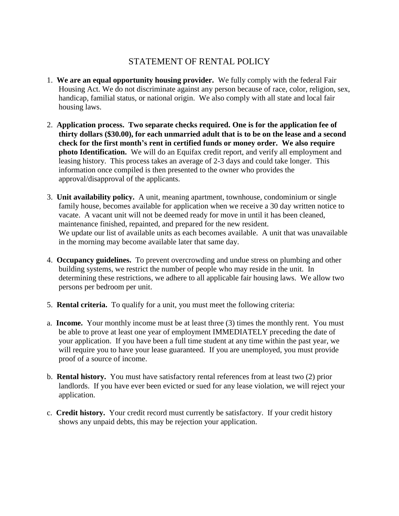## STATEMENT OF RENTAL POLICY

- 1. **We are an equal opportunity housing provider.** We fully comply with the federal Fair Housing Act. We do not discriminate against any person because of race, color, religion, sex, handicap, familial status, or national origin. We also comply with all state and local fair housing laws.
- 2. **Application process. Two separate checks required. One is for the application fee of thirty dollars (\$30.00), for each unmarried adult that is to be on the lease and a second check for the first month's rent in certified funds or money order. We also require photo Identification.** We will do an Equifax credit report, and verify all employment and leasing history. This process takes an average of 2-3 days and could take longer. This information once compiled is then presented to the owner who provides the approval/disapproval of the applicants.
- 3. **Unit availability policy.** A unit, meaning apartment, townhouse, condominium or single family house, becomes available for application when we receive a 30 day written notice to vacate. A vacant unit will not be deemed ready for move in until it has been cleaned, maintenance finished, repainted, and prepared for the new resident. We update our list of available units as each becomes available. A unit that was unavailable in the morning may become available later that same day.
- 4. **Occupancy guidelines.** To prevent overcrowding and undue stress on plumbing and other building systems, we restrict the number of people who may reside in the unit. In determining these restrictions, we adhere to all applicable fair housing laws. We allow two persons per bedroom per unit.
- 5. **Rental criteria.** To qualify for a unit, you must meet the following criteria:
- a. **Income.** Your monthly income must be at least three (3) times the monthly rent. You must be able to prove at least one year of employment IMMEDIATELY preceding the date of your application. If you have been a full time student at any time within the past year, we will require you to have your lease guaranteed. If you are unemployed, you must provide proof of a source of income.
- b. **Rental history.** You must have satisfactory rental references from at least two (2) prior landlords. If you have ever been evicted or sued for any lease violation, we will reject your application.
- c. **Credit history.** Your credit record must currently be satisfactory. If your credit history shows any unpaid debts, this may be rejection your application.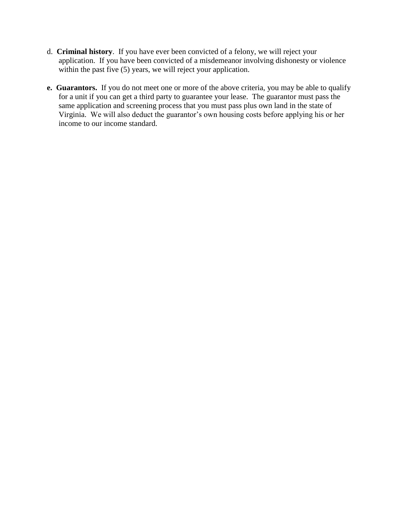- d. **Criminal history**. If you have ever been convicted of a felony, we will reject your application. If you have been convicted of a misdemeanor involving dishonesty or violence within the past five (5) years, we will reject your application.
- **e. Guarantors.** If you do not meet one or more of the above criteria, you may be able to qualify for a unit if you can get a third party to guarantee your lease. The guarantor must pass the same application and screening process that you must pass plus own land in the state of Virginia. We will also deduct the guarantor's own housing costs before applying his or her income to our income standard.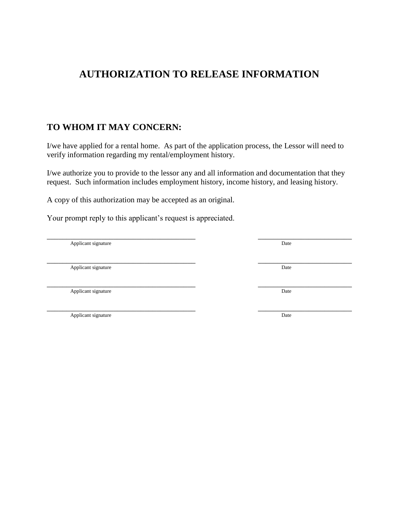# **AUTHORIZATION TO RELEASE INFORMATION**

# **TO WHOM IT MAY CONCERN:**

I/we have applied for a rental home. As part of the application process, the Lessor will need to verify information regarding my rental/employment history.

I/we authorize you to provide to the lessor any and all information and documentation that they request. Such information includes employment history, income history, and leasing history.

A copy of this authorization may be accepted as an original.

Your prompt reply to this applicant's request is appreciated.

\_\_\_\_\_\_\_\_\_\_\_\_\_\_\_\_\_\_\_\_\_\_\_\_\_\_\_\_\_\_\_\_\_\_\_\_\_\_ \_\_\_\_\_\_\_\_\_\_\_\_\_\_\_\_\_\_\_\_\_\_\_\_ Applicant signature Date

\_\_\_\_\_\_\_\_\_\_\_\_\_\_\_\_\_\_\_\_\_\_\_\_\_\_\_\_\_\_\_\_\_\_\_\_\_\_ \_\_\_\_\_\_\_\_\_\_\_\_\_\_\_\_\_\_\_\_\_\_\_\_ Applicant signature Date

\_\_\_\_\_\_\_\_\_\_\_\_\_\_\_\_\_\_\_\_\_\_\_\_\_\_\_\_\_\_\_\_\_\_\_\_\_\_ \_\_\_\_\_\_\_\_\_\_\_\_\_\_\_\_\_\_\_\_\_\_\_\_ Applicant signature Date

Applicant signature Date

 $\_$  , and the set of the set of the set of the set of the set of the set of the set of the set of the set of the set of the set of the set of the set of the set of the set of the set of the set of the set of the set of th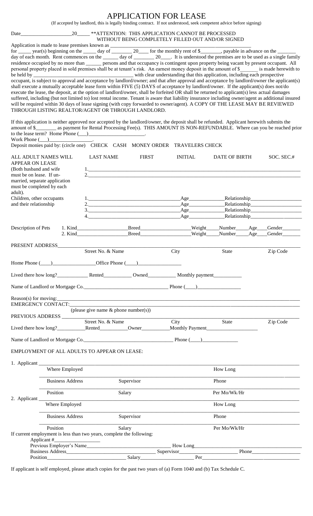## APPLICATION FOR LEASE

(If accepted by landlord, this is legally binding contract. If not understood, seek competent advice before signing)

|                                                                                                                                                                                                                                                                                   | 20                | ** ATTENTION: THIS APPLICATION CANNOT BE PROCESSED<br>WITHOUT BEING COMPLETELY FILLED OUT AND/OR SIGNED                                                                                                                                                                                                                                                                                                                                                                                             |                |                    |                                                                                                                                                                                                                                |                  |                                     |
|-----------------------------------------------------------------------------------------------------------------------------------------------------------------------------------------------------------------------------------------------------------------------------------|-------------------|-----------------------------------------------------------------------------------------------------------------------------------------------------------------------------------------------------------------------------------------------------------------------------------------------------------------------------------------------------------------------------------------------------------------------------------------------------------------------------------------------------|----------------|--------------------|--------------------------------------------------------------------------------------------------------------------------------------------------------------------------------------------------------------------------------|------------------|-------------------------------------|
|                                                                                                                                                                                                                                                                                   |                   |                                                                                                                                                                                                                                                                                                                                                                                                                                                                                                     |                |                    |                                                                                                                                                                                                                                |                  |                                     |
| for _______ year(s) beginning on the ______ day of __________ 20 _____ for the monthly rent of \$________, payable in advance on the ______                                                                                                                                       |                   |                                                                                                                                                                                                                                                                                                                                                                                                                                                                                                     |                |                    |                                                                                                                                                                                                                                |                  |                                     |
| day of each month. Rent commences on the ______ day of ________ 20____. It is understood the premises are to be used as a single family<br>residence occupied by no more than ______ persons and that occupancy is contingent upon property being vacant by present occupant. All |                   |                                                                                                                                                                                                                                                                                                                                                                                                                                                                                                     |                |                    |                                                                                                                                                                                                                                |                  |                                     |
| personal property placed in sold premises shall be at tenant's risk. An earnest money deposit in the amount of \$ is made herewith to                                                                                                                                             |                   |                                                                                                                                                                                                                                                                                                                                                                                                                                                                                                     |                |                    |                                                                                                                                                                                                                                |                  |                                     |
| occupant, is subject to approval and acceptance by landlord/owner; and that after approval and acceptance by landlord/owner the applicant(s)                                                                                                                                      |                   |                                                                                                                                                                                                                                                                                                                                                                                                                                                                                                     |                |                    |                                                                                                                                                                                                                                |                  |                                     |
| shall execute a mutually acceptable lease form within FIVE (5) DAYS of acceptance by landlord/owner. If the applicant(s) does not/do                                                                                                                                              |                   |                                                                                                                                                                                                                                                                                                                                                                                                                                                                                                     |                |                    |                                                                                                                                                                                                                                |                  |                                     |
| execute the lease, the deposit, at the option of landlord/owner, shall be forfeited OR shall be returned to applicant(s) less actual damages                                                                                                                                      |                   |                                                                                                                                                                                                                                                                                                                                                                                                                                                                                                     |                |                    |                                                                                                                                                                                                                                |                  |                                     |
| suffered, including (but not limited to) lost rental income. Tenant is aware that liability insurance including owner/agent as additional insured<br>will be required within 30 days of lease signing (with copy forwarded to owner/agent). A COPY OF THE LEASE MAY BE REVIEWED   |                   |                                                                                                                                                                                                                                                                                                                                                                                                                                                                                                     |                |                    |                                                                                                                                                                                                                                |                  |                                     |
| THROUGH LISTING REALTOR/AGENT OR THROUGH LANDLORD.                                                                                                                                                                                                                                |                   |                                                                                                                                                                                                                                                                                                                                                                                                                                                                                                     |                |                    |                                                                                                                                                                                                                                |                  |                                     |
| If this application is neither approved nor accepted by the landlord/owner, the deposit shall be refunded. Applicant herewith submits the<br>amount of \$________ as payment for Rental Processing Fee(s). THIS AMOUNT IS NON-REFUNDABLE. Where can you be reached prior          |                   |                                                                                                                                                                                                                                                                                                                                                                                                                                                                                                     |                |                    |                                                                                                                                                                                                                                |                  |                                     |
| to the lease term? Home Phone $(\_)$                                                                                                                                                                                                                                              |                   |                                                                                                                                                                                                                                                                                                                                                                                                                                                                                                     |                |                    |                                                                                                                                                                                                                                |                  |                                     |
| Work Phone $(\_\_)$                                                                                                                                                                                                                                                               |                   |                                                                                                                                                                                                                                                                                                                                                                                                                                                                                                     |                |                    |                                                                                                                                                                                                                                |                  |                                     |
| Deposit monies paid by: (circle one) CHECK CASH MONEY ORDER TRAVELERS CHECK                                                                                                                                                                                                       |                   |                                                                                                                                                                                                                                                                                                                                                                                                                                                                                                     |                |                    |                                                                                                                                                                                                                                |                  |                                     |
| ALL ADULT NAMES WILL<br><b>APPEAR ON LEASE</b>                                                                                                                                                                                                                                    | <b>LAST NAME</b>  | <b>FIRST</b>                                                                                                                                                                                                                                                                                                                                                                                                                                                                                        | <b>INITIAL</b> |                    | DATE OF BIRTH                                                                                                                                                                                                                  |                  | SOC. SEC.#                          |
| (Both husband and wife                                                                                                                                                                                                                                                            |                   |                                                                                                                                                                                                                                                                                                                                                                                                                                                                                                     |                |                    |                                                                                                                                                                                                                                |                  |                                     |
| must be on lease. If un-                                                                                                                                                                                                                                                          |                   | 2.                                                                                                                                                                                                                                                                                                                                                                                                                                                                                                  |                |                    |                                                                                                                                                                                                                                |                  |                                     |
| married, separate application                                                                                                                                                                                                                                                     |                   |                                                                                                                                                                                                                                                                                                                                                                                                                                                                                                     |                |                    |                                                                                                                                                                                                                                |                  |                                     |
| must be completed by each                                                                                                                                                                                                                                                         |                   |                                                                                                                                                                                                                                                                                                                                                                                                                                                                                                     |                |                    |                                                                                                                                                                                                                                |                  |                                     |
| adult).                                                                                                                                                                                                                                                                           |                   |                                                                                                                                                                                                                                                                                                                                                                                                                                                                                                     |                |                    |                                                                                                                                                                                                                                |                  |                                     |
| Children, other occupants<br>and their relationship                                                                                                                                                                                                                               |                   |                                                                                                                                                                                                                                                                                                                                                                                                                                                                                                     |                | _Age_______<br>Age |                                                                                                                                                                                                                                |                  |                                     |
|                                                                                                                                                                                                                                                                                   |                   | $\begin{array}{c} \n3. \quad \textcolor{blue}{\textbf{22.12}} \quad \textcolor{blue}{\textbf{23.13}} \quad \textcolor{blue}{\textbf{24.13}} \quad \textcolor{blue}{\textbf{25.13}} \quad \textcolor{blue}{\textbf{26.13}} \quad \textcolor{blue}{\textbf{27.13}} \quad \textcolor{blue}{\textbf{28.13}} \quad \textcolor{blue}{\textbf{29.13}} \quad \textcolor{blue}{\textbf{21.13}} \quad \textcolor{blue}{\textbf{21.13}} \quad \textcolor{blue}{\textbf{21.13}} \quad \textcolor{blue}{\textbf$ | Age            |                    |                                                                                                                                                                                                                                |                  | Relationship<br><u>Relationship</u> |
|                                                                                                                                                                                                                                                                                   |                   |                                                                                                                                                                                                                                                                                                                                                                                                                                                                                                     | Age            |                    |                                                                                                                                                                                                                                | Relationship____ |                                     |
|                                                                                                                                                                                                                                                                                   |                   |                                                                                                                                                                                                                                                                                                                                                                                                                                                                                                     |                |                    |                                                                                                                                                                                                                                |                  |                                     |
| Description of Pets<br>1. Kind                                                                                                                                                                                                                                                    |                   | Breed                                                                                                                                                                                                                                                                                                                                                                                                                                                                                               |                |                    | Weight_____Number_____Age_                                                                                                                                                                                                     |                  | Gender                              |
| 2. Kind                                                                                                                                                                                                                                                                           |                   | <b>Breed</b>                                                                                                                                                                                                                                                                                                                                                                                                                                                                                        |                | Weight             | Number                                                                                                                                                                                                                         | Age              | Gender                              |
| PRESENT ADDRESS                                                                                                                                                                                                                                                                   |                   |                                                                                                                                                                                                                                                                                                                                                                                                                                                                                                     |                |                    |                                                                                                                                                                                                                                |                  |                                     |
|                                                                                                                                                                                                                                                                                   | Street No. & Name |                                                                                                                                                                                                                                                                                                                                                                                                                                                                                                     | City           |                    | <b>State</b>                                                                                                                                                                                                                   |                  | Zip Code                            |
|                                                                                                                                                                                                                                                                                   |                   |                                                                                                                                                                                                                                                                                                                                                                                                                                                                                                     |                |                    |                                                                                                                                                                                                                                |                  |                                     |
| Home Phone (Comparison and Diffice Phone (Comparison and Phone Comparison and Phone Comparison and Phone Comparison and Phone Comparison and Phone Comparison and Phone Comparison and Phone Comparison and Phone Comparison a                                                    |                   |                                                                                                                                                                                                                                                                                                                                                                                                                                                                                                     |                |                    |                                                                                                                                                                                                                                |                  |                                     |
|                                                                                                                                                                                                                                                                                   |                   |                                                                                                                                                                                                                                                                                                                                                                                                                                                                                                     |                |                    |                                                                                                                                                                                                                                |                  |                                     |
|                                                                                                                                                                                                                                                                                   |                   |                                                                                                                                                                                                                                                                                                                                                                                                                                                                                                     |                |                    |                                                                                                                                                                                                                                |                  |                                     |
|                                                                                                                                                                                                                                                                                   |                   |                                                                                                                                                                                                                                                                                                                                                                                                                                                                                                     |                |                    |                                                                                                                                                                                                                                |                  |                                     |
|                                                                                                                                                                                                                                                                                   |                   |                                                                                                                                                                                                                                                                                                                                                                                                                                                                                                     |                |                    |                                                                                                                                                                                                                                |                  |                                     |
|                                                                                                                                                                                                                                                                                   |                   |                                                                                                                                                                                                                                                                                                                                                                                                                                                                                                     |                |                    |                                                                                                                                                                                                                                |                  |                                     |
|                                                                                                                                                                                                                                                                                   |                   | (please give name $\&$ phone number(s))                                                                                                                                                                                                                                                                                                                                                                                                                                                             |                |                    |                                                                                                                                                                                                                                |                  |                                     |
|                                                                                                                                                                                                                                                                                   |                   |                                                                                                                                                                                                                                                                                                                                                                                                                                                                                                     |                |                    |                                                                                                                                                                                                                                |                  |                                     |
|                                                                                                                                                                                                                                                                                   |                   |                                                                                                                                                                                                                                                                                                                                                                                                                                                                                                     |                | <b>City</b>        | State                                                                                                                                                                                                                          |                  | Zip Code                            |
|                                                                                                                                                                                                                                                                                   |                   |                                                                                                                                                                                                                                                                                                                                                                                                                                                                                                     |                |                    |                                                                                                                                                                                                                                |                  |                                     |
|                                                                                                                                                                                                                                                                                   |                   |                                                                                                                                                                                                                                                                                                                                                                                                                                                                                                     |                |                    |                                                                                                                                                                                                                                |                  |                                     |
| Name of Landlord or Mortgage Co.                                                                                                                                                                                                                                                  |                   |                                                                                                                                                                                                                                                                                                                                                                                                                                                                                                     |                |                    |                                                                                                                                                                                                                                |                  |                                     |
| EMPLOYMENT OF ALL ADULTS TO APPEAR ON LEASE:                                                                                                                                                                                                                                      |                   |                                                                                                                                                                                                                                                                                                                                                                                                                                                                                                     |                |                    |                                                                                                                                                                                                                                |                  |                                     |
|                                                                                                                                                                                                                                                                                   |                   |                                                                                                                                                                                                                                                                                                                                                                                                                                                                                                     |                |                    |                                                                                                                                                                                                                                |                  |                                     |
|                                                                                                                                                                                                                                                                                   |                   |                                                                                                                                                                                                                                                                                                                                                                                                                                                                                                     |                |                    |                                                                                                                                                                                                                                |                  |                                     |
| Where Employed                                                                                                                                                                                                                                                                    |                   |                                                                                                                                                                                                                                                                                                                                                                                                                                                                                                     |                |                    | How Long                                                                                                                                                                                                                       |                  |                                     |
| <b>Business Address</b>                                                                                                                                                                                                                                                           |                   | Supervisor                                                                                                                                                                                                                                                                                                                                                                                                                                                                                          |                |                    | Phone                                                                                                                                                                                                                          |                  |                                     |
|                                                                                                                                                                                                                                                                                   |                   |                                                                                                                                                                                                                                                                                                                                                                                                                                                                                                     |                |                    |                                                                                                                                                                                                                                |                  |                                     |
| Position                                                                                                                                                                                                                                                                          |                   | Salary                                                                                                                                                                                                                                                                                                                                                                                                                                                                                              |                |                    | Per Mo/Wk/Hr                                                                                                                                                                                                                   |                  |                                     |
| 2. Applicant __                                                                                                                                                                                                                                                                   |                   |                                                                                                                                                                                                                                                                                                                                                                                                                                                                                                     |                |                    |                                                                                                                                                                                                                                |                  |                                     |
| Where Employed                                                                                                                                                                                                                                                                    |                   |                                                                                                                                                                                                                                                                                                                                                                                                                                                                                                     |                |                    | How Long                                                                                                                                                                                                                       |                  |                                     |
| <b>Business Address</b>                                                                                                                                                                                                                                                           |                   | Supervisor                                                                                                                                                                                                                                                                                                                                                                                                                                                                                          |                |                    | Phone                                                                                                                                                                                                                          |                  |                                     |
|                                                                                                                                                                                                                                                                                   |                   |                                                                                                                                                                                                                                                                                                                                                                                                                                                                                                     |                |                    |                                                                                                                                                                                                                                |                  |                                     |
| Position                                                                                                                                                                                                                                                                          |                   | Salary                                                                                                                                                                                                                                                                                                                                                                                                                                                                                              |                |                    | Per Mo/Wk/Hr                                                                                                                                                                                                                   |                  |                                     |
| If current employment is less than two years, complete the following:                                                                                                                                                                                                             |                   |                                                                                                                                                                                                                                                                                                                                                                                                                                                                                                     |                |                    |                                                                                                                                                                                                                                |                  |                                     |
|                                                                                                                                                                                                                                                                                   |                   |                                                                                                                                                                                                                                                                                                                                                                                                                                                                                                     |                |                    |                                                                                                                                                                                                                                |                  |                                     |
|                                                                                                                                                                                                                                                                                   |                   |                                                                                                                                                                                                                                                                                                                                                                                                                                                                                                     |                |                    |                                                                                                                                                                                                                                |                  |                                     |
| <b>Position</b>                                                                                                                                                                                                                                                                   |                   |                                                                                                                                                                                                                                                                                                                                                                                                                                                                                                     |                |                    | Per and the state of the state of the state of the state of the state of the state of the state of the state of the state of the state of the state of the state of the state of the state of the state of the state of the st |                  |                                     |

If applicant is self employed, please attach copies for the past two years of (a) Form 1040 and (b) Tax Schedule C.